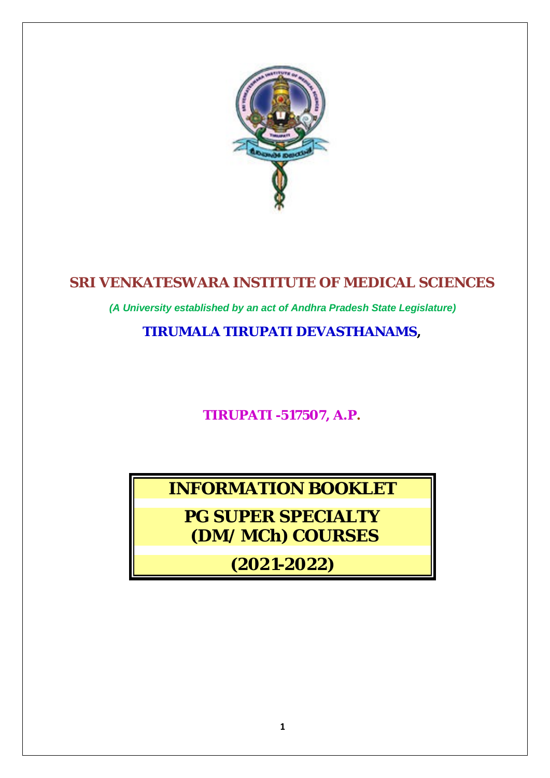

# **SRI VENKATESWARA INSTITUTE OF MEDICAL SCIENCES**

*(A University established by an act of Andhra Pradesh State Legislature)*

**TIRUMALA TIRUPATI DEVASTHANAMS,**

**TIRUPATI -517507, A.P.**

**INFORMATION BOOKLET**

**PG SUPER SPECIALTY (DM/ MCh) COURSES**

*(2021-2022)*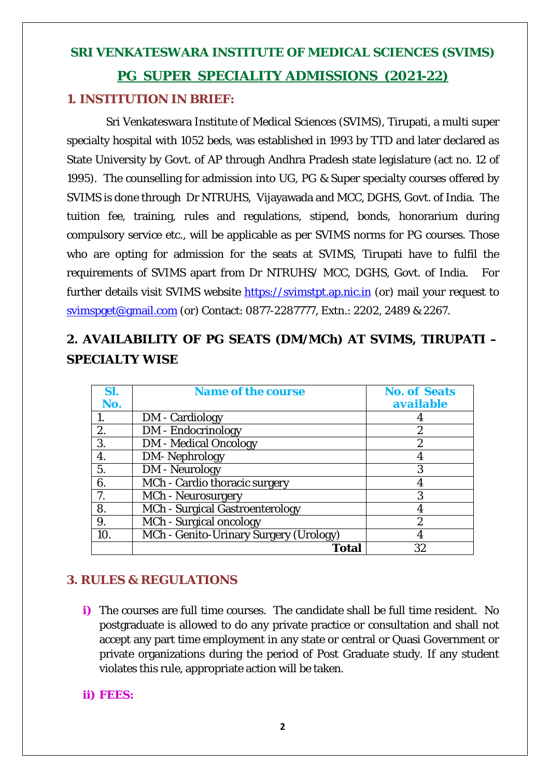# **SRI VENKATESWARA INSTITUTE OF MEDICAL SCIENCES (SVIMS) PG SUPER SPECIALITY ADMISSIONS (2021-22)**

# **1. INSTITUTION IN BRIEF:**

Sri Venkateswara Institute of Medical Sciences (SVIMS), Tirupati, a multi super specialty hospital with 1052 beds, was established in 1993 by TTD and later declared as State University by Govt. of AP through Andhra Pradesh state legislature (act no. 12 of 1995). The counselling for admission into UG, PG & Super specialty courses offered by SVIMS is done through Dr NTRUHS, Vijayawada and MCC, DGHS, Govt. of India. The tuition fee, training, rules and regulations, stipend, bonds, honorarium during compulsory service etc., will be applicable as per SVIMS norms for PG courses. Those who are opting for admission for the seats at SVIMS, Tirupati have to fulfil the requirements of SVIMS apart from Dr NTRUHS/ MCC, DGHS, Govt. of India. For further details visit SVIMS website [https://svimstpt.ap.nic.in](https://svimstpt.ap.nic.in/) (or) mail your request to [svimspget@gmail.com](mailto:svimspget@gmail.com) (or) Contact: 0877-2287777, Extn.: 2202, 2489 & 2267.

# **2. AVAILABILITY OF PG SEATS (DM/MCh) AT SVIMS, TIRUPATI – SPECIALTY WISE**

| SI. | <b>Name of the course</b>              | <b>No. of Seats</b> |
|-----|----------------------------------------|---------------------|
| No. |                                        | <b>available</b>    |
|     | <b>DM</b> - Cardiology                 |                     |
| 2.  | <b>DM</b> - Endocrinology              | 2                   |
| 3.  | <b>DM</b> - Medical Oncology           | $\overline{2}$      |
| 4.  | <b>DM-Nephrology</b>                   |                     |
| 5.  | <b>DM</b> - Neurology                  | 3                   |
| 6.  | MCh - Cardio thoracic surgery          |                     |
| 7.  | <b>MCh</b> - Neurosurgery              | 3                   |
| 8.  | MCh - Surgical Gastroenterology        |                     |
| 9.  | MCh - Surgical oncology                | $\overline{2}$      |
| 10. | MCh - Genito-Urinary Surgery (Urology) |                     |
|     | <b>Total</b>                           | 32                  |

# **3. RULES & REGULATIONS**

**i)** The courses are full time courses. The candidate shall be full time resident. No postgraduate is allowed to do any private practice or consultation and shall not accept any part time employment in any state or central or Quasi Government or private organizations during the period of Post Graduate study. If any student violates this rule, appropriate action will be taken.

# **ii) FEES:**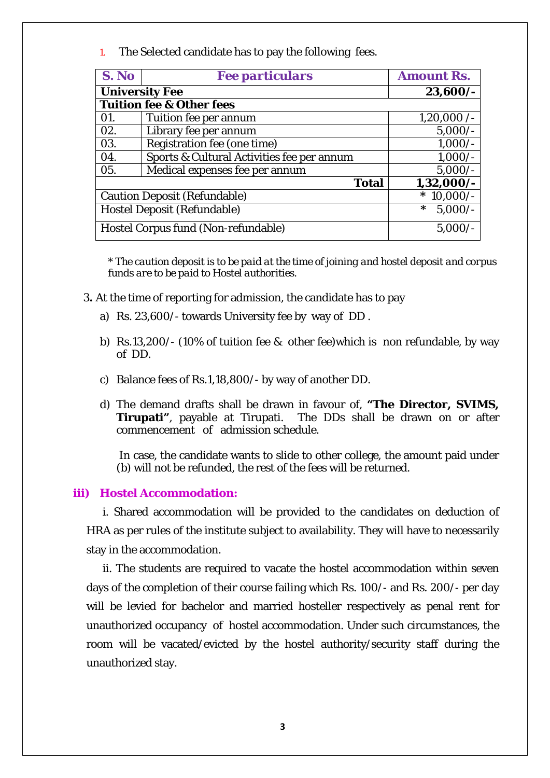1. The Selected candidate has to pay the following fees.

| S. No                               | <b>Fee particulars</b>                     | <b>Amount Rs.</b>   |  |  |  |
|-------------------------------------|--------------------------------------------|---------------------|--|--|--|
| <b>University Fee</b>               | 23,600/-                                   |                     |  |  |  |
| <b>Tuition fee &amp; Other fees</b> |                                            |                     |  |  |  |
| 01.                                 | Tuition fee per annum                      | 1,20,000/           |  |  |  |
| 02.                                 | Library fee per annum                      | $5,000/-$           |  |  |  |
| 03.                                 | Registration fee (one time)                | $1,000/-$           |  |  |  |
| 04.                                 | Sports & Cultural Activities fee per annum | $1,000/-$           |  |  |  |
| 05.                                 | Medical expenses fee per annum             | $5,000/-$           |  |  |  |
|                                     | $1,32,000/$ -                              |                     |  |  |  |
| <b>Caution Deposit (Refundable)</b> |                                            | $10,000/-$<br>∗     |  |  |  |
| <b>Hostel Deposit (Refundable)</b>  |                                            | $5,000/-$<br>$\ast$ |  |  |  |
| Hostel Corpus fund (Non-refundable) |                                            | $5,000/-$           |  |  |  |

\* *The caution deposit is to be paid at the time of joining and hostel deposit and corpus funds are to be paid to Hostel authorities.*

- 3**.** At the time of reporting for admission, the candidate has to pay
	- a) Rs. 23,600/- towards University fee by way of DD .
	- b) Rs.13,200/- (10% of tuition fee & other fee)which is non refundable, by way of DD.
	- c) Balance fees of Rs.1,18,800/- by way of another DD.
	- d) The demand drafts shall be drawn in favour of, **"The Director, SVIMS, Tirupati"**, payable at Tirupati. The DDs shall be drawn on or after commencement of admission schedule.

In case, the candidate wants to slide to other college, the amount paid under (b) will not be refunded, the rest of the fees will be returned.

### **iii) Hostel Accommodation:**

i. Shared accommodation will be provided to the candidates on deduction of HRA as per rules of the institute subject to availability. They will have to necessarily stay in the accommodation.

ii. The students are required to vacate the hostel accommodation within seven days of the completion of their course failing which Rs. 100/- and Rs. 200/- per day will be levied for bachelor and married hosteller respectively as penal rent for unauthorized occupancy of hostel accommodation. Under such circumstances, the room will be vacated/evicted by the hostel authority/security staff during the unauthorized stay.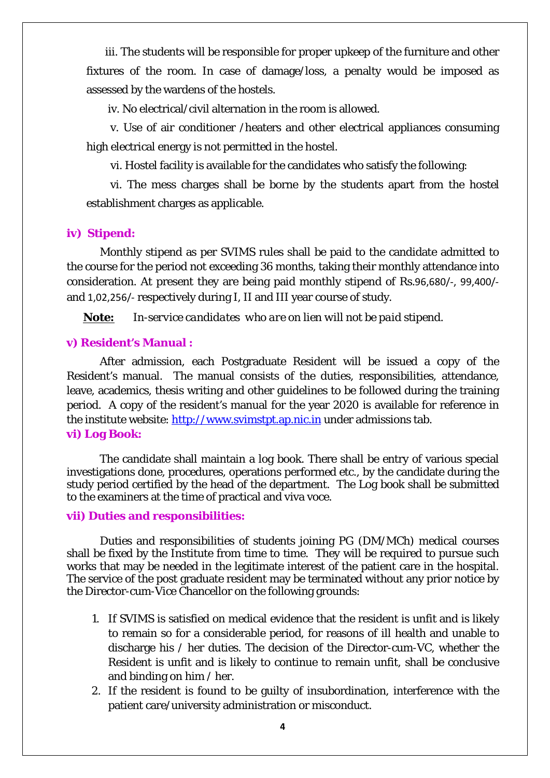iii. The students will be responsible for proper upkeep of the furniture and other fixtures of the room. In case of damage/loss, a penalty would be imposed as assessed by the wardens of the hostels.

iv. No electrical/civil alternation in the room is allowed.

 v. Use of air conditioner /heaters and other electrical appliances consuming high electrical energy is not permitted in the hostel.

vi. Hostel facility is available for the candidates who satisfy the following:

 vi. The mess charges shall be borne by the students apart from the hostel establishment charges as applicable.

# **iv) Stipend:**

Monthly stipend as per SVIMS rules shall be paid to the candidate admitted to the course for the period not exceeding 36 months, taking their monthly attendance into consideration. At present they are being paid monthly stipend of Rs.96,680/-, 99,400/ and 1,02,256/- respectively during I, II and III year course of study.

**Note:** *In-service candidates who are on lien will not be paid stipend.*

### **v) Resident's Manual :**

After admission, each Postgraduate Resident will be issued a copy of the Resident's manual. The manual consists of the duties, responsibilities, attendance, leave, academics, thesis writing and other guidelines to be followed during the training period. A copy of the resident's manual for the year 2020 is available for reference in the institute website: [http://www.svimstpt.ap.nic.in](http://www.svimstpt.ap.nic.in/) under admissions tab. **vi) Log Book:** 

The candidate shall maintain a log book. There shall be entry of various special investigations done, procedures, operations performed etc., by the candidate during the study period certified by the head of the department. The Log book shall be submitted to the examiners at the time of practical and viva voce.

#### **vii) Duties and responsibilities:**

Duties and responsibilities of students joining PG (DM/MCh) medical courses shall be fixed by the Institute from time to time. They will be required to pursue such works that may be needed in the legitimate interest of the patient care in the hospital. The service of the post graduate resident may be terminated without any prior notice by the Director-cum-Vice Chancellor on the following grounds:

- 1. If SVIMS is satisfied on medical evidence that the resident is unfit and is likely to remain so for a considerable period, for reasons of ill health and unable to discharge his / her duties. The decision of the Director-cum-VC, whether the Resident is unfit and is likely to continue to remain unfit, shall be conclusive and binding on him / her.
- 2. If the resident is found to be guilty of insubordination, interference with the patient care/university administration or misconduct.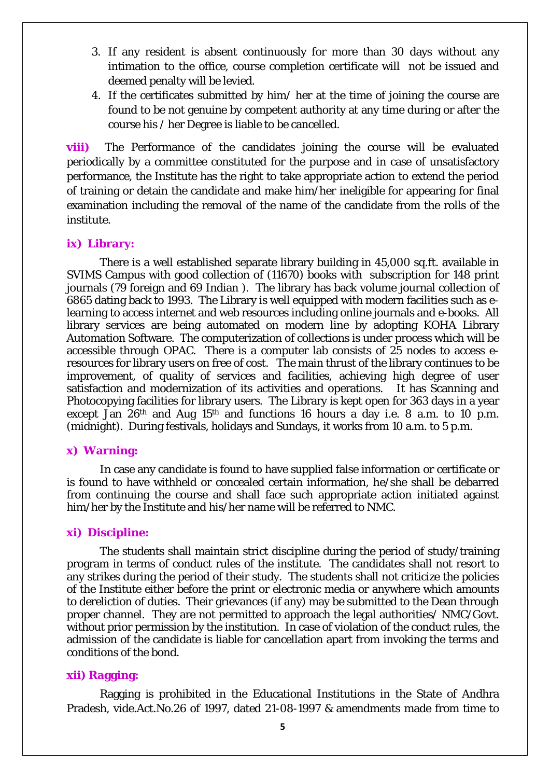- 3. If any resident is absent continuously for more than 30 days without any intimation to the office, course completion certificate will not be issued and deemed penalty will be levied.
- 4. If the certificates submitted by him/ her at the time of joining the course are found to be not genuine by competent authority at any time during or after the course his / her Degree is liable to be cancelled.

**viii)** The Performance of the candidates joining the course will be evaluated periodically by a committee constituted for the purpose and in case of unsatisfactory performance, the Institute has the right to take appropriate action to extend the period of training or detain the candidate and make him/her ineligible for appearing for final examination including the removal of the name of the candidate from the rolls of the institute.

#### **ix) Library:**

There is a well established separate library building in 45,000 sq.ft. available in SVIMS Campus with good collection of (11670) books with subscription for 148 print journals (79 foreign and 69 Indian ). The library has back volume journal collection of 6865 dating back to 1993. The Library is well equipped with modern facilities such as elearning to access internet and web resources including online journals and e-books. All library services are being automated on modern line by adopting KOHA Library Automation Software. The computerization of collections is under process which will be accessible through OPAC. There is a computer lab consists of 25 nodes to access eresources for library users on free of cost. The main thrust of the library continues to be improvement, of quality of services and facilities, achieving high degree of user satisfaction and modernization of its activities and operations. It has Scanning and Photocopying facilities for library users. The Library is kept open for 363 days in a year except Jan  $26<sup>th</sup>$  and Aug  $15<sup>th</sup>$  and functions 16 hours a day i.e. 8 a.m. to 10 p.m. (midnight). During festivals, holidays and Sundays, it works from 10 a.m. to 5 p.m.

### **x) Warning:**

In case any candidate is found to have supplied false information or certificate or is found to have withheld or concealed certain information, he/she shall be debarred from continuing the course and shall face such appropriate action initiated against him/her by the Institute and his/her name will be referred to NMC.

#### **xi) Discipline:**

The students shall maintain strict discipline during the period of study/training program in terms of conduct rules of the institute. The candidates shall not resort to any strikes during the period of their study. The students shall not criticize the policies of the Institute either before the print or electronic media or anywhere which amounts to dereliction of duties. Their grievances (if any) may be submitted to the Dean through proper channel. They are not permitted to approach the legal authorities/ NMC/Govt. without prior permission by the institution. In case of violation of the conduct rules, the admission of the candidate is liable for cancellation apart from invoking the terms and conditions of the bond.

#### **xii) Ragging:**

Ragging is prohibited in the Educational Institutions in the State of Andhra Pradesh, vide.Act.No.26 of 1997, dated 21-08-1997 & amendments made from time to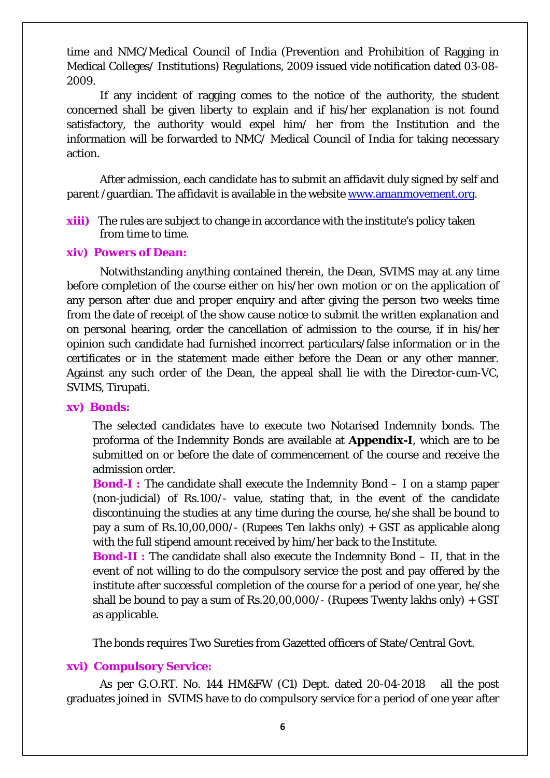time and NMC/Medical Council of India (Prevention and Prohibition of Ragging in Medical Colleges/ Institutions) Regulations, 2009 issued vide notification dated 03-08- 2009.

If any incident of ragging comes to the notice of the authority, the student concerned shall be given liberty to explain and if his/her explanation is not found satisfactory, the authority would expel him/ her from the Institution and the information will be forwarded to NMC/ Medical Council of India for taking necessary action.

After admission, each candidate has to submit an affidavit duly signed by self and parent /guardian. The affidavit is available in the website [www.amanmovement.org.](http://www.amanmovement.org/)

**xiii)** The rules are subject to change in accordance with the institute's policy taken from time to time.

### **xiv) Powers of Dean:**

Notwithstanding anything contained therein, the Dean, SVIMS may at any time before completion of the course either on his/her own motion or on the application of any person after due and proper enquiry and after giving the person two weeks time from the date of receipt of the show cause notice to submit the written explanation and on personal hearing, order the cancellation of admission to the course, if in his/her opinion such candidate had furnished incorrect particulars/false information or in the certificates or in the statement made either before the Dean or any other manner. Against any such order of the Dean, the appeal shall lie with the Director-cum-VC, SVIMS, Tirupati.

# **xv) Bonds:**

The selected candidates have to execute two Notarised Indemnity bonds. The proforma of the Indemnity Bonds are available at **Appendix-I**, which are to be submitted on or before the date of commencement of the course and receive the admission order.

**Bond-I :** The candidate shall execute the Indemnity Bond – I on a stamp paper (non-judicial) of Rs.100/- value, stating that, in the event of the candidate discontinuing the studies at any time during the course, he/she shall be bound to pay a sum of Rs.10,00,000/- (Rupees Ten lakhs only) + GST as applicable along with the full stipend amount received by him/her back to the Institute.

**Bond-II :** The candidate shall also execute the Indemnity Bond – II, that in the event of not willing to do the compulsory service the post and pay offered by the institute after successful completion of the course for a period of one year, he/she shall be bound to pay a sum of Rs.20,00,000/- (Rupees Twenty lakhs only) + GST as applicable.

The bonds requires Two Sureties from Gazetted officers of State/Central Govt.

# **xvi) Compulsory Service:**

As per G.O.RT. No. 144 HM&FW (C1) Dept. dated 20-04-2018 all the post graduates joined in SVIMS have to do compulsory service for a period of one year after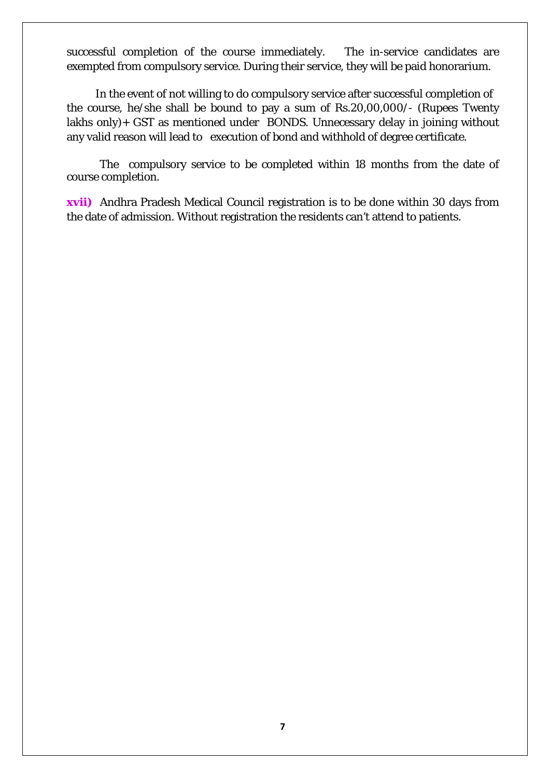successful completion of the course immediately. The in-service candidates are exempted from compulsory service. During their service, they will be paid honorarium.

In the event of not willing to do compulsory service after successful completion of the course, he/she shall be bound to pay a sum of Rs.20,00,000/- (Rupees Twenty lakhs only)+ GST as mentioned under BONDS. Unnecessary delay in joining without any valid reason will lead to execution of bond and withhold of degree certificate.

The compulsory service to be completed within 18 months from the date of course completion.

**xvii)** Andhra Pradesh Medical Council registration is to be done within 30 days from the date of admission. Without registration the residents can't attend to patients.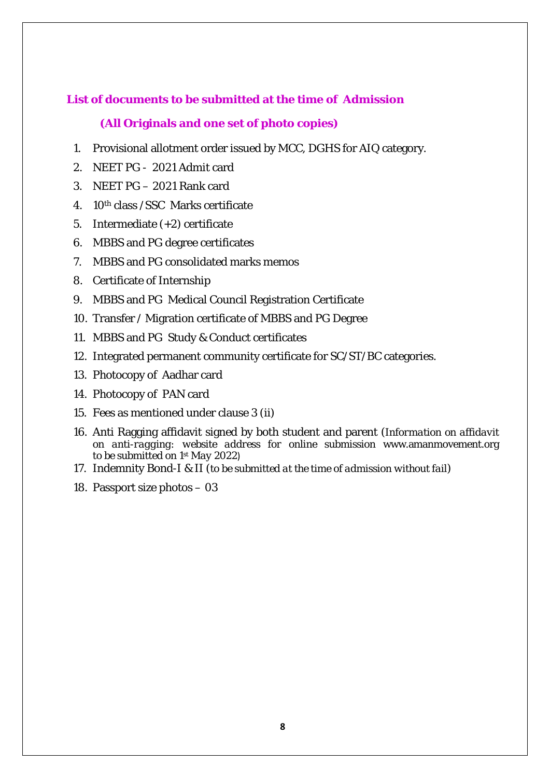# **List of documents to be submitted at the time of Admission**

# **(All Originals and one set of photo copies)**

- 1. Provisional allotment order issued by MCC, DGHS for AIQ category.
- 2. NEET PG 2021 Admit card
- 3. NEET PG 2021 Rank card
- 4. 10th class /SSC Marks certificate
- 5. Intermediate (+2) certificate
- 6. MBBS and PG degree certificates
- 7. MBBS and PG consolidated marks memos
- 8. Certificate of Internship
- 9. MBBS and PG Medical Council Registration Certificate
- 10. Transfer / Migration certificate of MBBS and PG Degree
- 11. MBBS and PG Study & Conduct certificates
- 12. Integrated permanent community certificate for SC/ST/BC categories.
- 13. Photocopy of Aadhar card
- 14. Photocopy of PAN card
- 15. Fees as mentioned under clause 3 (ii)
- 16. Anti Ragging affidavit signed by both student and parent (*Information on affidavit on anti-ragging: website address for online submission* [www.amanmovement.org](http://www.amanmovement.org/) *to be submitted on 1st May 2022*)
- 17. Indemnity Bond-I & II (*to be submitted at the time of admission without fail*)
- 18. Passport size photos 03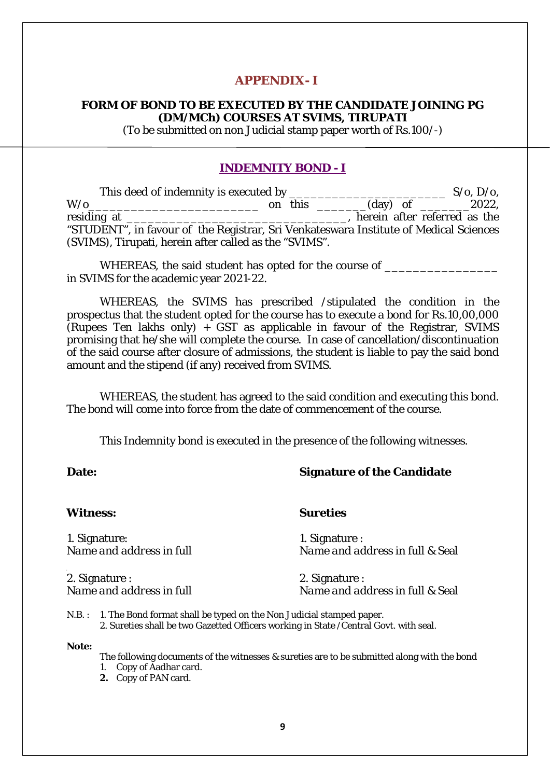# **APPENDIX- I**

# **FORM OF BOND TO BE EXECUTED BY THE CANDIDATE JOINING PG (DM/MCh) COURSES AT SVIMS, TIRUPATI**

(To be submitted on non Judicial stamp paper worth of Rs.100/-)

# **INDEMNITY BOND - I**

|                                                                                       |  |  |  | $S/\mathbf{o}$ , $D/\mathbf{o}$ ,    |
|---------------------------------------------------------------------------------------|--|--|--|--------------------------------------|
| $W$ /0                                                                                |  |  |  | on this $\_\_$ (day) of $\_\_$ 2022, |
| residing at<br><u> 1980 - Jan Barat, Amerikaansk politiker († 1908)</u>               |  |  |  | herein after referred as the         |
| "STUDENT", in favour of the Registrar, Sri Venkateswara Institute of Medical Sciences |  |  |  |                                      |
| (SVIMS), Tirupati, herein after called as the "SVIMS".                                |  |  |  |                                      |

WHEREAS, the said student has opted for the course of in SVIMS for the academic year 2021-22.

WHEREAS, the SVIMS has prescribed /stipulated the condition in the prospectus that the student opted for the course has to execute a bond for Rs.10,00,000 (Rupees Ten lakhs only)  $+$  GST as applicable in favour of the Registrar, SVIMS promising that he/she will complete the course. In case of cancellation/discontinuation of the said course after closure of admissions, the student is liable to pay the said bond amount and the stipend (if any) received from SVIMS.

WHEREAS, the student has agreed to the said condition and executing this bond. The bond will come into force from the date of commencement of the course.

This Indemnity bond is executed in the presence of the following witnesses.

# **Date: Signature of the Candidate**

#### **Witness: Sureties**

1. Signature: 1. Signature :<br>Name and address in full Name and advance in the set of the set of the set of the Name and advance in the Name and advance in the Second Second Second Second Second Second Second Second Second

*Name and address in full Name and address in full* & Seal

2. Signature : 2. Signature : 2. Signature : 2. Signature : 2. Signature : 2. Signature : 2. Signature : 2. Signature : 2. Signature : 2. Signature : 2. Signature : 2. Signature : 2. Signature : 2. Signature : 2. Signature

*Name and address in full Name and address in full* & Seal

N.B. : 1. The Bond format shall be typed on the Non Judicial stamped paper. 2. Sureties shall be two Gazetted Officers working in State /Central Govt. with seal.

**Note:**

The following documents of the witnesses & sureties are to be submitted along with the bond

- 1. Copy of Aadhar card.
- **2.** Copy of PAN card.